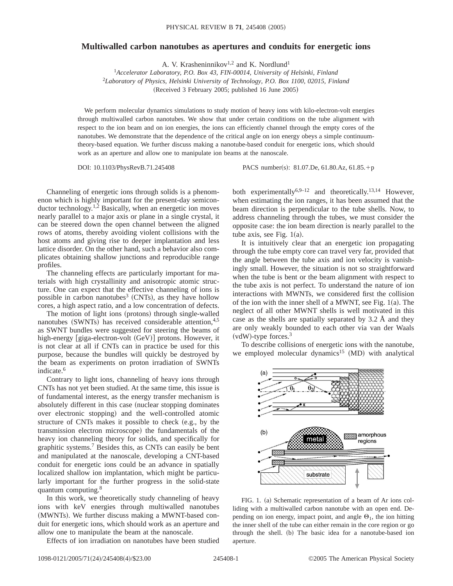## **Multiwalled carbon nanotubes as apertures and conduits for energetic ions**

A. V. Krasheninnikov<sup>1,2</sup> and K. Nordlund<sup>1</sup>

<sup>1</sup>*Accelerator Laboratory, P.O. Box 43, FIN-00014, University of Helsinki, Finland* 2 *Laboratory of Physics, Helsinki University of Technology, P.O. Box 1100, 02015, Finland*  $(Received 3 February 2005; published 16 June 2005)$ 

We perform molecular dynamics simulations to study motion of heavy ions with kilo-electron-volt energies through multiwalled carbon nanotubes. We show that under certain conditions on the tube alignment with respect to the ion beam and on ion energies, the ions can efficiently channel through the empty cores of the nanotubes. We demonstrate that the dependence of the critical angle on ion energy obeys a simple continuumtheory-based equation. We further discuss making a nanotube-based conduit for energetic ions, which should work as an aperture and allow one to manipulate ion beams at the nanoscale.

DOI: 10.1103/PhysRevB.71.245408 PACS number(s): 81.07.De, 61.80.Az, 61.85.+p

Channeling of energetic ions through solids is a phenomenon which is highly important for the present-day semiconductor technology.<sup>1,2</sup> Basically, when an energetic ion moves nearly parallel to a major axis or plane in a single crystal, it can be steered down the open channel between the aligned rows of atoms, thereby avoiding violent collisions with the host atoms and giving rise to deeper implantation and less lattice disorder. On the other hand, such a behavior also complicates obtaining shallow junctions and reproducible range profiles.

The channeling effects are particularly important for materials with high crystallinity and anisotropic atomic structure. One can expect that the effective channeling of ions is possible in carbon nanotubes<sup>3</sup> (CNTs), as they have hollow cores, a high aspect ratio, and a low concentration of defects.

The motion of light ions (protons) through single-walled nanotubes (SWNTs) has received considerable attention, $4.5$ as SWNT bundles were suggested for steering the beams of high-energy [giga-electron-volt  $(GeV)$ ] protons. However, it is not clear at all if CNTs can in practice be used for this purpose, because the bundles will quickly be destroyed by the beam as experiments on proton irradiation of SWNTs indicate.<sup>6</sup>

Contrary to light ions, channeling of heavy ions through CNTs has not yet been studied. At the same time, this issue is of fundamental interest, as the energy transfer mechanism is absolutely different in this case (nuclear stopping dominates over electronic stopping) and the well-controlled atomic structure of CNTs makes it possible to check  $(e.g., by the)$ transmission electron microscope) the fundamentals of the heavy ion channeling theory for solids, and specifically for graphitic systems.7 Besides this, as CNTs can easily be bent and manipulated at the nanoscale, developing a CNT-based conduit for energetic ions could be an advance in spatially localized shallow ion implantation, which might be particularly important for the further progress in the solid-state quantum computing.<sup>8</sup>

In this work, we theoretically study channeling of heavy ions with keV energies through multiwalled nanotubes (MWNTs). We further discuss making a MWNT-based conduit for energetic ions, which should work as an aperture and allow one to manipulate the beam at the nanoscale.

Effects of ion irradiation on nanotubes have been studied

both experimentally<sup>6,9–12</sup> and theoretically.<sup>13,14</sup> However, when estimating the ion ranges, it has been assumed that the beam direction is perpendicular to the tube shells. Now, to address channeling through the tubes, we must consider the opposite case: the ion beam direction is nearly parallel to the tube axis, see Fig.  $1(a)$ .

It is intuitively clear that an energetic ion propagating through the tube empty core can travel very far, provided that the angle between the tube axis and ion velocity is vanishingly small. However, the situation is not so straightforward when the tube is bent or the beam alignment with respect to the tube axis is not perfect. To understand the nature of ion interactions with MWNTs, we considered first the collision of the ion with the inner shell of a MWNT, see Fig.  $1(a)$ . The neglect of all other MWNT shells is well motivated in this case as the shells are spatially separated by 3.2 Å and they are only weakly bounded to each other via van der Waals  $(vdW)$ -type forces.<sup>3</sup>

To describe collisions of energetic ions with the nanotube, we employed molecular dynamics<sup>15</sup> (MD) with analytical



FIG. 1. (a) Schematic representation of a beam of Ar ions colliding with a multiwalled carbon nanotube with an open end. Depending on ion energy, impact point, and angle  $\Theta_1$ , the ion hitting the inner shell of the tube can either remain in the core region or go through the shell. (b) The basic idea for a nanotube-based ion aperture.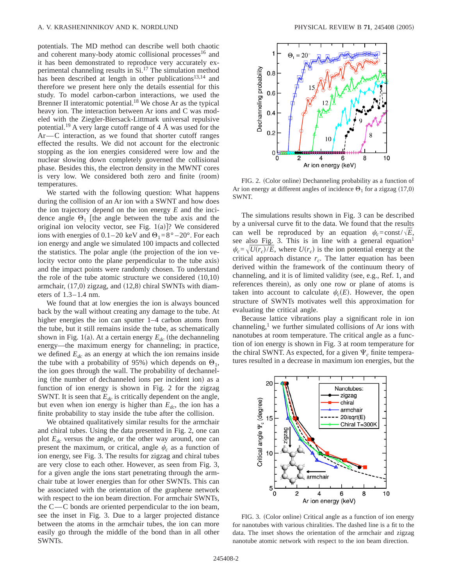potentials. The MD method can describe well both chaotic and coherent many-body atomic collisional processes<sup>16</sup> and it has been demonstrated to reproduce very accurately experimental channeling results in Si.17 The simulation method has been described at length in other publications<sup>13,14</sup> and therefore we present here only the details essential for this study. To model carbon-carbon interactions, we used the Brenner II interatomic potential.<sup>18</sup> We chose Ar as the typical heavy ion. The interaction between Ar ions and C was modeled with the Ziegler-Biersack-Littmark universal repulsive potential.<sup>19</sup> A very large cutoff range of 4  $\AA$  was used for the  $Ar-C$  interaction, as we found that shorter cutoff ranges effected the results. We did not account for the electronic stopping as the ion energies considered were low and the nuclear slowing down completely governed the collisional phase. Besides this, the electron density in the MWNT cores is very low. We considered both zero and finite (room) temperatures.

We started with the following question: What happens during the collision of an Ar ion with a SWNT and how does the ion trajectory depend on the ion energy *E* and the incidence angle  $\Theta_1$  [the angle between the tube axis and the original ion velocity vector, see Fig.  $1(a)$ ? We considered ions with energies of 0.1–20 keV and  $\Theta_1 = 8^\circ - 20^\circ$ . For each ion energy and angle we simulated 100 impacts and collected the statistics. The polar angle (the projection of the ion velocity vector onto the plane perpendicular to the tube axis) and the impact points were randomly chosen. To understand the role of the tube atomic structure we considered  $(10,10)$ armchair,  $(17,0)$  zigzag, and  $(12,8)$  chiral SWNTs with diameters of 1.3–1.4 nm.

We found that at low energies the ion is always bounced back by the wall without creating any damage to the tube. At higher energies the ion can sputter 1–4 carbon atoms from the tube, but it still remains inside the tube, as schematically shown in Fig. 1(a). At a certain energy  $E_{dc}$  (the dechanneling energy—the maximum energy for channeling; in practice, we defined  $E_{dc}$  as an energy at which the ion remains inside the tube with a probability of 95%) which depends on  $\Theta_1$ , the ion goes through the wall. The probability of dechanneling (the number of dechanneled ions per incident ion) as a function of ion energy is shown in Fig. 2 for the zigzag SWNT. It is seen that  $E_{dc}$  is critically dependent on the angle, but even when ion energy is higher than  $E_{dc}$ , the ion has a finite probability to stay inside the tube after the collision.

We obtained qualitatively similar results for the armchair and chiral tubes. Using the data presented in Fig. 2, one can plot *Edc* versus the angle, or the other way around, one can present the maximum, or critical, angle  $\psi_c$  as a function of ion energy, see Fig. 3. The results for zigzag and chiral tubes are very close to each other. However, as seen from Fig. 3, for a given angle the ions start penetrating through the armchair tube at lower energies than for other SWNTs. This can be associated with the orientation of the graphene network with respect to the ion beam direction. For armchair SWNTs, the  $C-C$  bonds are oriented perpendicular to the ion beam, see the inset in Fig. 3. Due to a larger projected distance between the atoms in the armchair tubes, the ion can more easily go through the middle of the bond than in all other SWNTs.



FIG. 2. (Color online) Dechanneling probability as a function of Ar ion energy at different angles of incidence  $\Theta_1$  for a zigzag (17,0) SWNT.

The simulations results shown in Fig. 3 can be described by a universal curve fit to the data. We found that the results can well be reproduced by an equation  $\psi_c = \text{const}/\sqrt{E}$ , see also Fig. 3. This is in line with a general equation<sup>1</sup>  $\psi_c = \sqrt{U(r_c)/E}$ , where  $U(r_c)$  is the ion potential energy at the critical approach distance  $r_c$ . The latter equation has been derived within the framework of the continuum theory of channeling, and it is of limited validity (see, e.g., Ref. 1, and references therein), as only one row or plane of atoms is taken into account to calculate  $\psi_c(E)$ . However, the open structure of SWNTs motivates well this approximation for evaluating the critical angle.

Because lattice vibrations play a significant role in ion channeling,<sup>1</sup> we further simulated collisions of Ar ions with nanotubes at room temperature. The critical angle as a function of ion energy is shown in Fig. 3 at room temperature for the chiral SWNT. As expected, for a given  $\Psi_c$  finite temperatures resulted in a decrease in maximum ion energies, but the



FIG. 3. (Color online) Critical angle as a function of ion energy for nanotubes with various chiralities. The dashed line is a fit to the data. The inset shows the orientation of the armchair and zigzag nanotube atomic network with respect to the ion beam direction.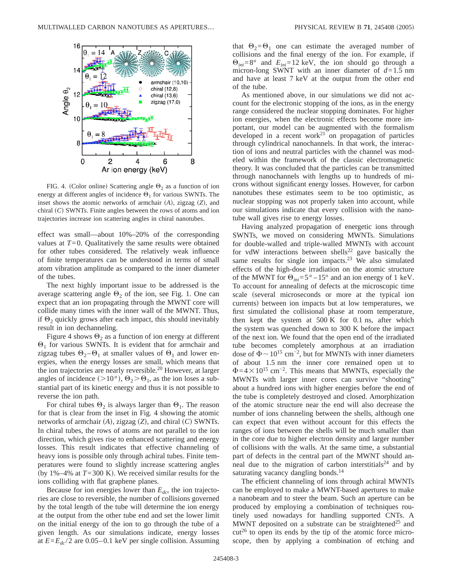

FIG. 4. (Color online) Scattering angle  $\Theta_2$  as a function of ion energy at different angles of incidence  $\Theta_1$  for various SWNTs. The inset shows the atomic networks of armchair (A), zigzag (Z), and chiral  $(C)$  SWNTs. Finite angles between the rows of atoms and ion trajectories increase ion scattering angles in chiral nanotubes.

effect was small—about 10%–20% of the corresponding values at  $T=0$ . Qualitatively the same results were obtained for other tubes considered. The relatively weak influence of finite temperatures can be understood in terms of small atom vibration amplitude as compared to the inner diameter of the tubes.

The next highly important issue to be addressed is the average scattering angle  $\Theta_2$  of the ion, see Fig. 1. One can expect that an ion propagating through the MWNT core will collide many times with the inner wall of the MWNT. Thus, if  $\Theta_2$  quickly grows after each impact, this should inevitably result in ion dechanneling.

Figure 4 shows  $\Theta_2$  as a function of ion energy at different  $\Theta_1$  for various SWNTs. It is evident that for armchair and zigzag tubes  $\Theta_2 - \Theta_1$  at smaller values of  $\Theta_1$  and lower energies, when the energy losses are small, which means that the ion trajectories are nearly reversible.<sup>20</sup> However, at larger angles of incidence ( $>10^{\circ}$ ),  $\Theta_2 > \Theta_1$ , as the ion loses a substantial part of its kinetic energy and thus it is not possible to reverse the ion path.

For chiral tubes  $\Theta_2$  is always larger than  $\Theta_1$ . The reason for that is clear from the inset in Fig. 4 showing the atomic networks of armchair  $(A)$ , zigzag  $(Z)$ , and chiral  $(C)$  SWNTs. In chiral tubes, the rows of atoms are not parallel to the ion direction, which gives rise to enhanced scattering and energy losses. This result indicates that effective channeling of heavy ions is possible only through achiral tubes. Finite temperatures were found to slightly increase scattering angles (by 1%–4% at  $T=300$  K). We received similar results for the ions colliding with flat graphene planes.

Because for ion energies lower than  $E_{dc}$ , the ion trajectories are close to reversible, the number of collisions governed by the total length of the tube will determine the ion energy at the output from the other tube end and set the lower limit on the initial energy of the ion to go through the tube of a given length. As our simulations indicate, energy losses at  $E=E_{dc}/2$  are 0.05–0.1 keV per single collision. Assuming that  $\Theta_2 = \Theta_1$  one can estimate the averaged number of collisions and the final energy of the ion. For example, if  $\Theta_{ini}=8^{\circ}$  and  $E_{ini}=12$  keV, the ion should go through a micron-long SWNT with an inner diameter of *d*=1.5 nm and have at least 7 keV at the output from the other end of the tube.

As mentioned above, in our simulations we did not account for the electronic stopping of the ions, as in the energy range considered the nuclear stopping dominates. For higher ion energies, when the electronic effects become more important, our model can be augmented with the formalism developed in a recent work<sup>21</sup> on propagation of particles through cylindrical nanochannels. In that work, the interaction of ions and neutral particles with the channel was modeled within the framework of the classic electromagnetic theory. It was concluded that the particles can be transmitted through nanochannels with lengths up to hundreds of microns without significant energy losses. However, for carbon nanotubes these estimates seem to be too optimistic, as nuclear stopping was not properly taken into account, while our simulations indicate that every collision with the nanotube wall gives rise to energy losses.

Having analyzed propagation of energetic ions through SWNTs, we moved on considering MWNTs. Simulations for double-walled and triple-walled MWNTs with account for vdW interactions between shells<sup>22</sup> gave basically the same results for single ion impacts.<sup>23</sup> We also simulated effects of the high-dose irradiation on the atomic structure of the MWNT for  $\Theta_{ini} = 5^{\circ} - 15^{\circ}$  and an ion energy of 1 keV. To account for annealing of defects at the microscopic time scale (several microseconds or more at the typical ion currents) between ion impacts but at low temperatures, we first simulated the collisional phase at room temperature, then kept the system at 500 K for 0.1 ns, after which the system was quenched down to 300 K before the impact of the next ion. We found that the open end of the irradiated tube becomes completely amorphous at an irradiation dose of  $\Phi \sim 10^{15}$  cm<sup>-2</sup>, but for MWNTs with inner diameters of about 1.5 nm the inner core remained open ut to  $\Phi$ =4×10<sup>15</sup> cm<sup>-2</sup>. This means that MWNTs, especially the MWNTs with larger inner cores can survive "shooting" about a hundred ions with higher energies before the end of the tube is completely destroyed and closed. Amorphization of the atomic structure near the end will also decrease the number of ions channeling between the shells, although one can expect that even without account for this effects the ranges of ions between the shells will be much smaller than in the core due to higher electron density and larger number of collisions with the walls. At the same time, a substantial part of defects in the central part of the MWNT should anneal due to the migration of carbon interstitials<sup>24</sup> and by saturating vacancy dangling bonds.<sup>14</sup>

The efficient channeling of ions through achiral MWNTs can be employed to make a MWNT-based apertures to make a nanobeam and to steer the beam. Such an aperture can be produced by employing a combination of techniques routinely used nowadays for handling supported CNTs. A MWNT deposited on a substrate can be straightened<sup>25</sup> and  $cut<sup>26</sup>$  to open its ends by the tip of the atomic force microscope, then by applying a combination of etching and